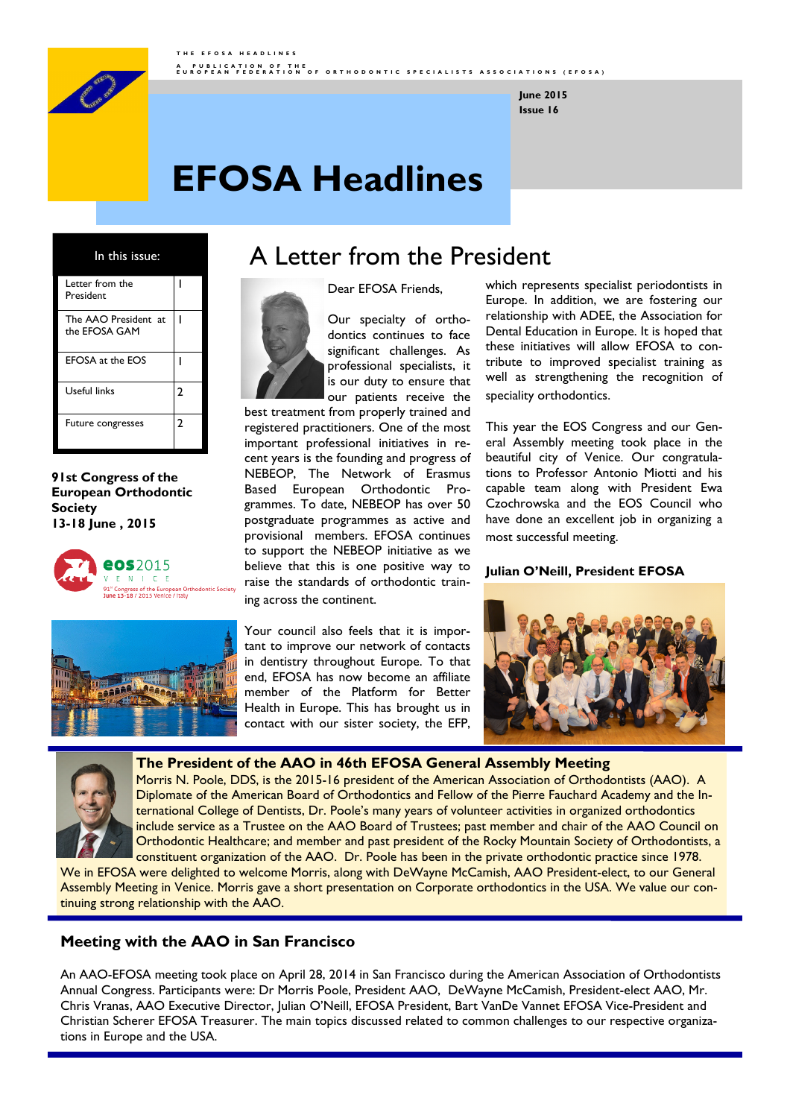

**Issue 16 June 2015**

# **EFOSA Headlines**

In this issue:

| Letter from the<br>President          |   |
|---------------------------------------|---|
| The AAO President at<br>the EFOSA GAM |   |
| <b>EFOSA at the EOS</b>               |   |
| Useful links                          | 2 |
| Future congresses                     | 2 |

**91st Congress of the European Orthodontic Society 13-18 June , 2015**





Your council also feels that it is important to improve our network of contacts in dentistry throughout Europe. To that end, EFOSA has now become an affiliate member of the Platform for Better Health in Europe. This has brought us in contact with our sister society, the EFP,

which represents specialist periodontists in Europe. In addition, we are fostering our relationship with ADEE, the Association for Dental Education in Europe. It is hoped that these initiatives will allow EFOSA to contribute to improved specialist training as well as strengthening the recognition of speciality orthodontics.

This year the EOS Congress and our General Assembly meeting took place in the beautiful city of Venice. Our congratulations to Professor Antonio Miotti and his capable team along with President Ewa Czochrowska and the EOS Council who have done an excellent job in organizing a most successful meeting.

#### **Julian O'Neill, President EFOSA**





**The President of the AAO in 46th EFOSA General Assembly Meeting** Morris N. Poole, DDS, is the 2015-16 president of the American Association of Orthodontists (AAO). A Diplomate of the American Board of Orthodontics and Fellow of the Pierre Fauchard Academy and the International College of Dentists, Dr. Poole's many years of volunteer activities in organized orthodontics include service as a Trustee on the AAO Board of Trustees; past member and chair of the AAO Council on

Orthodontic Healthcare; and member and past president of the Rocky Mountain Society of Orthodontists, a constituent organization of the AAO. Dr. Poole has been in the private orthodontic practice since 1978. We in EFOSA were delighted to welcome Morris, along with DeWayne McCamish, AAO President-elect, to our General Assembly Meeting in Venice. Morris gave a short presentation on Corporate orthodontics in the USA. We value our con-

### **Meeting with the AAO in San Francisco**

tinuing strong relationship with the AAO.

An AAO-EFOSA meeting took place on April 28, 2014 in San Francisco during the American Association of Orthodontists Annual Congress. Participants were: Dr Morris Poole, President AAO, DeWayne McCamish, President-elect AAO, Mr. Chris Vranas, AAO Executive Director, Julian O'Neill, EFOSA President, Bart VanDe Vannet EFOSA Vice-President and Christian Scherer EFOSA Treasurer. The main topics discussed related to common challenges to our respective organizations in Europe and the USA.

# A Letter from the President

Dear EFOSA Friends,



Our specialty of orthodontics continues to face significant challenges. As professional specialists, it is our duty to ensure that our patients receive the

best treatment from properly trained and registered practitioners. One of the most important professional initiatives in recent years is the founding and progress of NEBEOP, The Network of Erasmus Based European Orthodontic Programmes. To date, NEBEOP has over 50 postgraduate programmes as active and provisional members. EFOSA continues to support the NEBEOP initiative as we believe that this is one positive way to raise the standards of orthodontic training across the continent.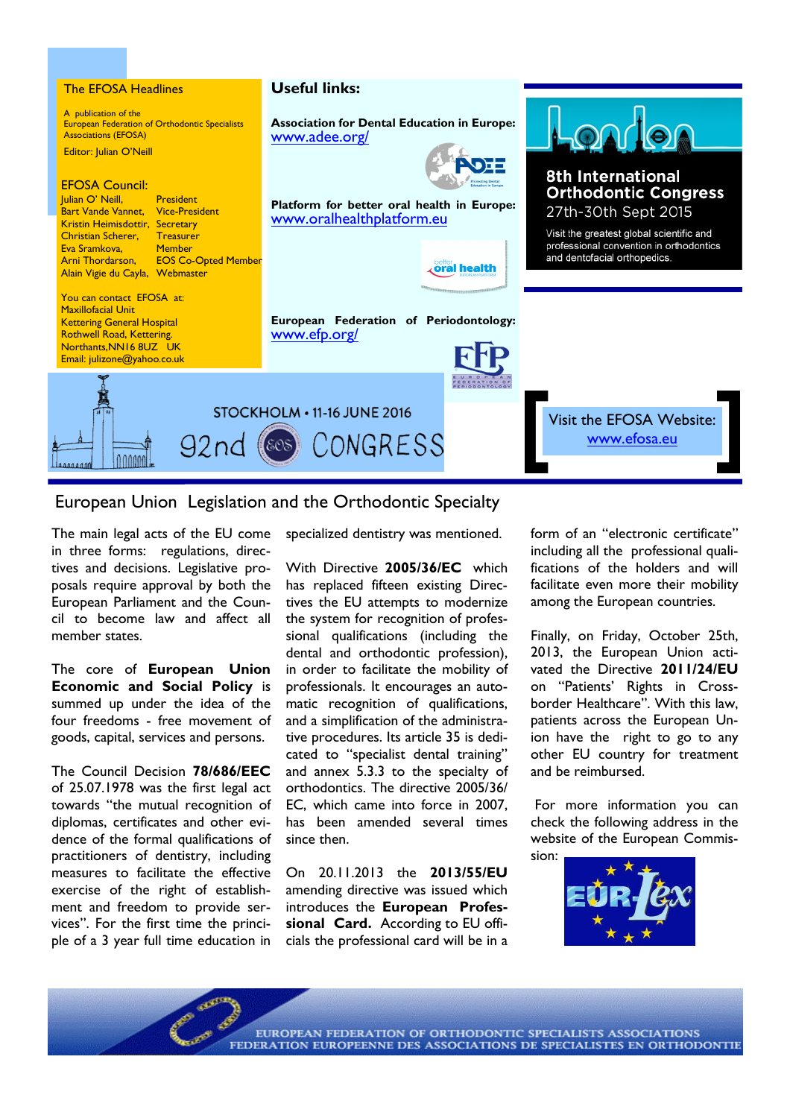

### European Union Legislation and the Orthodontic Specialty

The main legal acts of the EU come in three forms: regulations, directives and decisions. Legislative proposals require approval by both the European Parliament and the Council to become law and affect all member states.

The core of **European Union Economic and Social Policy** is summed up under the idea of the four freedoms - free movement of goods, capital, services and persons.

The Council Decision **78/686/EEC** of 25.07.1978 was the first legal act towards "the mutual recognition of diplomas, certificates and other evidence of the formal qualifications of practitioners of dentistry, including measures to facilitate the effective exercise of the right of establishment and freedom to provide services". For the first time the principle of a 3 year full time education in specialized dentistry was mentioned.

With Directive **2005/36/EC** which has replaced fifteen existing Directives the EU attempts to modernize the system for recognition of professional qualifications (including the dental and orthodontic profession), in order to facilitate the mobility of professionals. It encourages an automatic recognition of qualifications, and a simplification of the administrative procedures. Its article 35 is dedicated to "specialist dental training" and annex 5.3.3 to the specialty of orthodontics. The directive 2005/36/ EC, which came into force in 2007, has been amended several times since then.

On 20.11.2013 the **2013/55/EU** amending directive was issued which introduces the **European Professional Card.** According to EU officials the professional card will be in a form of an "electronic certificate" including all the professional qualifications of the holders and will facilitate even more their mobility among the European countries.

Finally, on Friday, October 25th, 2013, the European Union activated the Directive **2011/24/EU** on "Patients' Rights in Crossborder Healthcare". With this law, patients across the European Union have the right to go to any other EU country for treatment and be reimbursed.

For more information you can check the following address in the website of the European Commission:



EUROPEAN FEDERATION OF ORTHODONTIC SPECIALISTS ASSOCIATIONS FEDERATION EUROPEENNE DES ASSOCIATIONS DE SPECIALISTES EN ORTHODONTIE